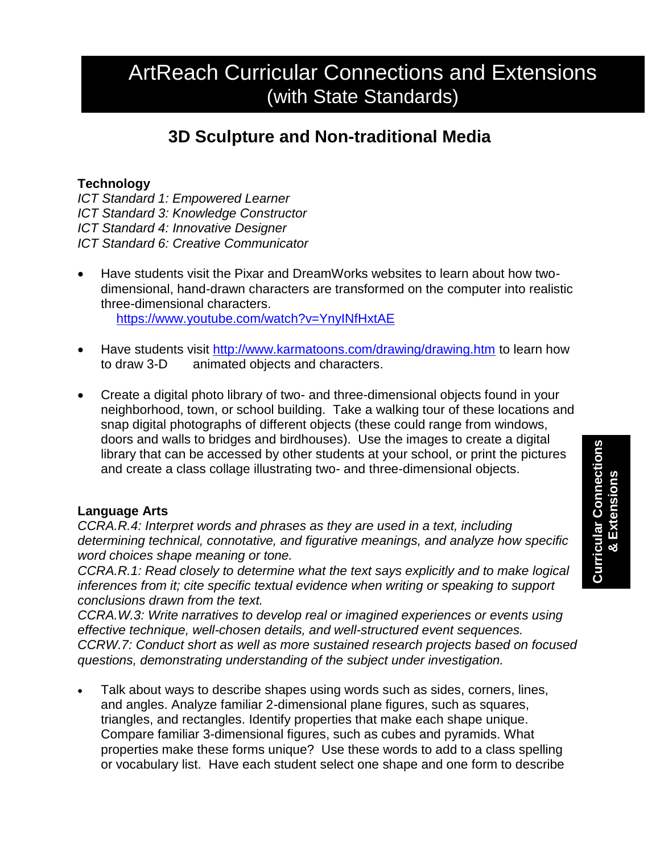# ArtReach Curricular Connections and Extensions (with State Standards)

## **3D Sculpture and Non-traditional Media**

### **Technology**

*ICT Standard 1: Empowered Learner ICT Standard 3: Knowledge Constructor ICT Standard 4: Innovative Designer ICT Standard 6: Creative Communicator*

- Have students visit the Pixar and DreamWorks websites to learn about how twodimensional, hand-drawn characters are transformed on the computer into realistic three-dimensional characters. <https://www.youtube.com/watch?v=YnyINfHxtAE>
- Have students visit<http://www.karmatoons.com/drawing/drawing.htm> to learn how to draw 3-D animated objects and characters.
- Create a digital photo library of two- and three-dimensional objects found in your neighborhood, town, or school building. Take a walking tour of these locations and snap digital photographs of different objects (these could range from windows, doors and walls to bridges and birdhouses). Use the images to create a digital library that can be accessed by other students at your school, or print the pictures and create a class collage illustrating two- and three-dimensional objects.

#### **Language Arts**

*CCRA.R.4: Interpret words and phrases as they are used in a text, including determining technical, connotative, and figurative meanings, and analyze how specific word choices shape meaning or tone.*

*CCRA.R.1: Read closely to determine what the text says explicitly and to make logical inferences from it; cite specific textual evidence when writing or speaking to support conclusions drawn from the text.*

*CCRA.W.3: Write narratives to develop real or imagined experiences or events using effective technique, well-chosen details, and well-structured event sequences. CCRW.7: Conduct short as well as more sustained research projects based on focused questions, demonstrating understanding of the subject under investigation.*

 Talk about ways to describe shapes using words such as sides, corners, lines, and angles. Analyze familiar 2-dimensional plane figures, such as squares, triangles, and rectangles. Identify properties that make each shape unique. Compare familiar 3-dimensional figures, such as cubes and pyramids. What properties make these forms unique? Use these words to add to a class spelling or vocabulary list. Have each student select one shape and one form to describe

**Curricular Connections Curricular Connections** & Extensions **& Extensions**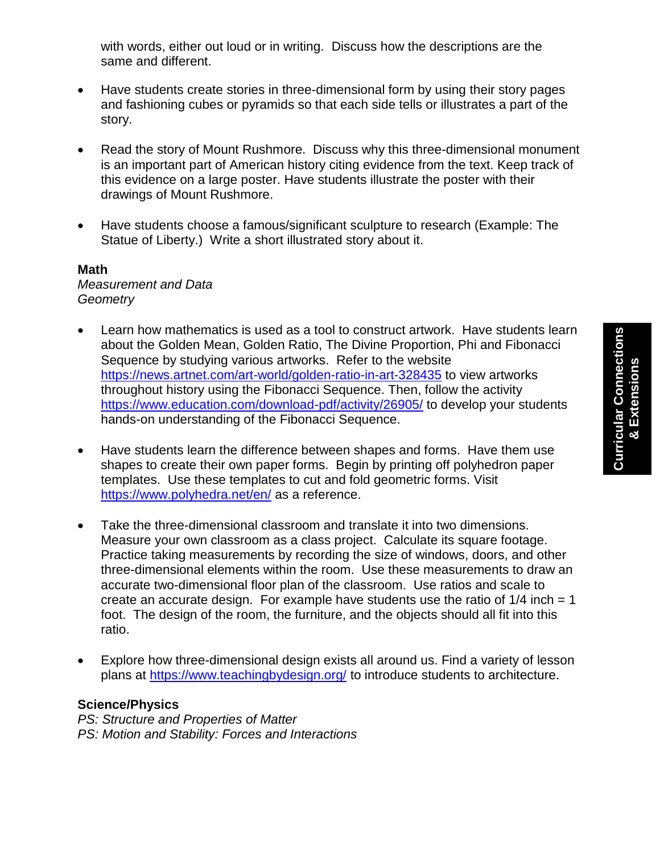with words, either out loud or in writing. Discuss how the descriptions are the same and different.

- Have students create stories in three-dimensional form by using their story pages and fashioning cubes or pyramids so that each side tells or illustrates a part of the story.
- Read the story of Mount Rushmore. Discuss why this three-dimensional monument is an important part of American history citing evidence from the text. Keep track of this evidence on a large poster. Have students illustrate the poster with their drawings of Mount Rushmore.
- Have students choose a famous/significant sculpture to research (Example: The Statue of Liberty.) Write a short illustrated story about it.

#### **Math**

#### *Measurement and Data Geometry*

- Learn how mathematics is used as a tool to construct artwork. Have students learn about the Golden Mean, Golden Ratio, The Divine Proportion, Phi and Fibonacci Sequence by studying various artworks. Refer to the website <https://news.artnet.com/art-world/golden-ratio-in-art-328435> to view artworks throughout history using the Fibonacci Sequence. Then, follow the activity <https://www.education.com/download-pdf/activity/26905/> to develop your students hands-on understanding of the Fibonacci Sequence.
- Have students learn the difference between shapes and forms. Have them use shapes to create their own paper forms. Begin by printing off polyhedron paper templates. Use these templates to cut and fold geometric forms. Visit <https://www.polyhedra.net/en/> as a reference.
- Take the three-dimensional classroom and translate it into two dimensions. Measure your own classroom as a class project. Calculate its square footage. Practice taking measurements by recording the size of windows, doors, and other three-dimensional elements within the room. Use these measurements to draw an accurate two-dimensional floor plan of the classroom. Use ratios and scale to create an accurate design. For example have students use the ratio of  $1/4$  inch = 1 foot. The design of the room, the furniture, and the objects should all fit into this ratio.
- Explore how three-dimensional design exists all around us. Find a variety of lesson plans at<https://www.teachingbydesign.org/> to introduce students to architecture.

#### **Science/Physics**

*PS: Structure and Properties of Matter PS: Motion and Stability: Forces and Interactions*